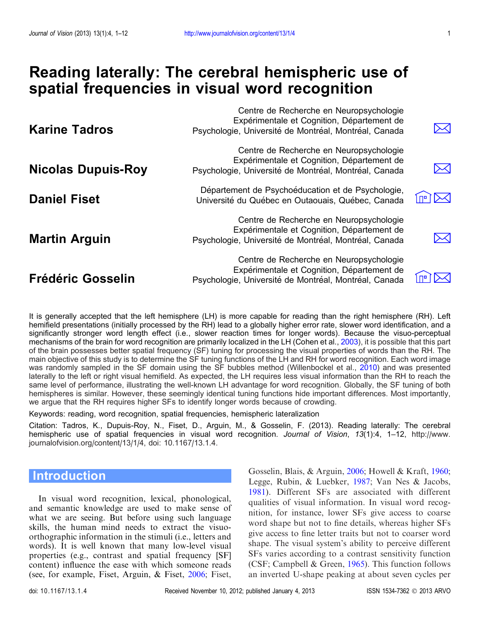# Reading laterally: The cerebral hemispheric use of spatial frequencies in visual word recognition

| <b>Karine Tadros</b>      | Centre de Recherche en Neuropsychologie<br>Expérimentale et Cognition, Département de<br>Psychologie, Université de Montréal, Montréal, Canada |    |
|---------------------------|------------------------------------------------------------------------------------------------------------------------------------------------|----|
| <b>Nicolas Dupuis-Roy</b> | Centre de Recherche en Neuropsychologie<br>Expérimentale et Cognition, Département de<br>Psychologie, Université de Montréal, Montréal, Canada |    |
| <b>Daniel Fiset</b>       | Département de Psychoéducation et de Psychologie,<br>Université du Québec en Outaouais, Québec, Canada                                         | n" |
| <b>Martin Arguin</b>      | Centre de Recherche en Neuropsychologie<br>Expérimentale et Cognition, Département de<br>Psychologie, Université de Montréal, Montréal, Canada |    |
| <b>Frédéric Gosselin</b>  | Centre de Recherche en Neuropsychologie<br>Expérimentale et Cognition, Département de<br>Psychologie, Université de Montréal, Montréal, Canada |    |

It is generally accepted that the left hemisphere (LH) is more capable for reading than the right hemisphere (RH). Left hemifield presentations (initially processed by the RH) lead to a globally higher error rate, slower word identification, and a significantly stronger word length effect (i.e., slower reaction times for longer words). Because the visuo-perceptual mechanisms of the brain for word recognition are primarily localized in the LH (Cohen et al., [2003\)](#page-9-0), it is possible that this part of the brain possesses better spatial frequency (SF) tuning for processing the visual properties of words than the RH. The main objective of this study is to determine the SF tuning functions of the LH and RH for word recognition. Each word image was randomly sampled in the SF domain using the SF bubbles method (Willenbockel et al., [2010](#page-11-0)) and was presented laterally to the left or right visual hemifield. As expected, the LH requires less visual information than the RH to reach the same level of performance, illustrating the well-known LH advantage for word recognition. Globally, the SF tuning of both hemispheres is similar. However, these seemingly identical tuning functions hide important differences. Most importantly, we argue that the RH requires higher SFs to identify longer words because of crowding.

Keywords: reading, word recognition, spatial frequencies, hemispheric lateralization

Citation: Tadros, K., Dupuis-Roy, N., Fiset, D., Arguin, M., & Gosselin, F. (2013). Reading laterally: The cerebral hemispheric use of spatial frequencies in visual word recognition. Journal of Vision, 13(1):4, 1–12, http://www. journalofvision.org/content/13/1/4, doi: 10.1167/13.1.4.

# **Introduction**

In visual word recognition, lexical, phonological, and semantic knowledge are used to make sense of what we are seeing. But before using such language skills, the human mind needs to extract the visuoorthographic information in the stimuli (i.e., letters and words). It is well known that many low-level visual properties (e.g., contrast and spatial frequency [SF] content) influence the ease with which someone reads (see, for example, Fiset, Arguin, & Fiset, [2006;](#page-10-0) Fiset,

Gosselin, Blais, & Arguin, [2006](#page-10-0); Howell & Kraft, [1960](#page-10-0); Legge, Rubin, & Luebker, [1987](#page-10-0); Van Nes & Jacobs, [1981](#page-11-0)). Different SFs are associated with different qualities of visual information. In visual word recognition, for instance, lower SFs give access to coarse word shape but not to fine details, whereas higher SFs give access to fine letter traits but not to coarser word shape. The visual system's ability to perceive different SFs varies according to a contrast sensitivity function (CSF; Campbell & Green, [1965](#page-9-0)). This function follows an inverted U-shape peaking at about seven cycles per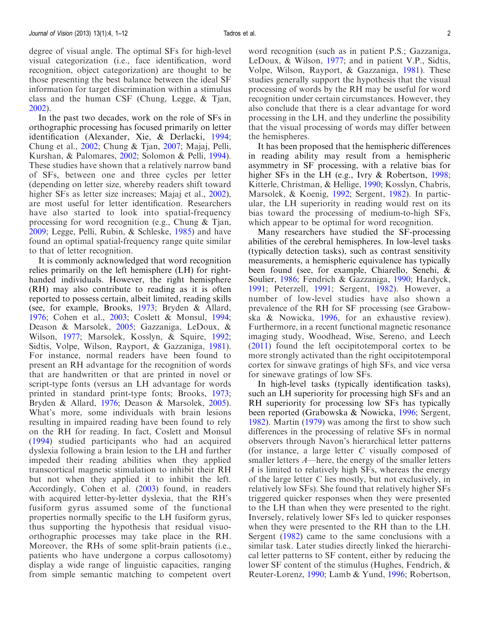degree of visual angle. The optimal SFs for high-level visual categorization (i.e., face identification, word recognition, object categorization) are thought to be those presenting the best balance between the ideal SF information for target discrimination within a stimulus class and the human CSF (Chung, Legge, & Tjan, [2002\)](#page-9-0).

In the past two decades, work on the role of SFs in orthographic processing has focused primarily on letter identification (Alexander, Xie, & Derlacki, [1994](#page-9-0); Chung et al., [2002](#page-9-0); Chung & Tjan, [2007](#page-9-0); Majaj, Pelli, Kurshan, & Palomares, [2002;](#page-10-0) Solomon & Pelli, [1994](#page-11-0)). These studies have shown that a relatively narrow band of SFs, between one and three cycles per letter (depending on letter size, whereby readers shift toward higher SFs as letter size increases; Majaj et al., [2002](#page-10-0)), are most useful for letter identification. Researchers have also started to look into spatial-frequency processing for word recognition (e.g., Chung & Tjan, [2009;](#page-9-0) Legge, Pelli, Rubin, & Schleske, [1985](#page-10-0)) and have found an optimal spatial-frequency range quite similar to that of letter recognition.

It is commonly acknowledged that word recognition relies primarily on the left hemisphere (LH) for righthanded individuals. However, the right hemisphere (RH) may also contribute to reading as it is often reported to possess certain, albeit limited, reading skills (see, for example, Brooks, [1973](#page-9-0); Bryden & Allard, [1976;](#page-9-0) Cohen et al., [2003;](#page-9-0) Coslett & Monsul, [1994](#page-9-0); Deason & Marsolek, [2005](#page-9-0); Gazzaniga, LeDoux, & Wilson, [1977;](#page-10-0) Marsolek, Kosslyn, & Squire, [1992](#page-10-0); Sidtis, Volpe, Wilson, Rayport, & Gazzaniga, [1981](#page-11-0)). For instance, normal readers have been found to present an RH advantage for the recognition of words that are handwritten or that are printed in novel or script-type fonts (versus an LH advantage for words printed in standard print-type fonts; Brooks, [1973](#page-9-0); Bryden & Allard, [1976](#page-9-0); Deason & Marsolek, [2005](#page-9-0)). What's more, some individuals with brain lesions resulting in impaired reading have been found to rely on the RH for reading. In fact, Coslett and Monsul ([1994](#page-9-0)) studied participants who had an acquired dyslexia following a brain lesion to the LH and further impeded their reading abilities when they applied transcortical magnetic stimulation to inhibit their RH but not when they applied it to inhibit the left. Accordingly, Cohen et al. ([2003\)](#page-9-0) found, in readers with acquired letter-by-letter dyslexia, that the RH's fusiform gyrus assumed some of the functional properties normally specific to the LH fusiform gyrus, thus supporting the hypothesis that residual visuoorthographic processes may take place in the RH. Moreover, the RHs of some split-brain patients (i.e., patients who have undergone a corpus callosotomy) display a wide range of linguistic capacities, ranging from simple semantic matching to competent overt

word recognition (such as in patient P.S.; Gazzaniga, LeDoux, & Wilson, [1977](#page-10-0); and in patient V.P., Sidtis, Volpe, Wilson, Rayport, & Gazzaniga, [1981\)](#page-11-0). These studies generally support the hypothesis that the visual processing of words by the RH may be useful for word recognition under certain circumstances. However, they also conclude that there is a clear advantage for word processing in the LH, and they underline the possibility that the visual processing of words may differ between the hemispheres.

It has been proposed that the hemispheric differences in reading ability may result from a hemispheric asymmetry in SF processing, with a relative bias for higher SFs in the LH (e.g., Ivry & Robertson, [1998](#page-10-0); Kitterle, Christman, & Hellige, [1990;](#page-10-0) Kosslyn, Chabris, Marsolek, & Koenig, [1992;](#page-10-0) Sergent, [1982](#page-11-0)). In particular, the LH superiority in reading would rest on its bias toward the processing of medium-to-high SFs, which appear to be optimal for word recognition.

Many researchers have studied the SF-processing abilities of the cerebral hemispheres. In low-level tasks (typically detection tasks), such as contrast sensitivity measurements, a hemispheric equivalence has typically been found (see, for example, Chiarello, Senehi, & Soulier, [1986](#page-9-0); Fendrich & Gazzaniga, [1990;](#page-10-0) Hardyck, [1991](#page-10-0); Peterzell, [1991;](#page-11-0) Sergent, [1982\)](#page-11-0). However, a number of low-level studies have also shown a prevalence of the RH for SF processing (see Grabowska & Nowicka, [1996,](#page-10-0) for an exhaustive review). Furthermore, in a recent functional magnetic resonance imaging study, Woodhead, Wise, Sereno, and Leech ([2011](#page-11-0)) found the left occipitotemporal cortex to be more strongly activated than the right occipitotemporal cortex for sinwave gratings of high SFs, and vice versa for sinewave gratings of low SFs.

In high-level tasks (typically identification tasks), such an LH superiority for processing high SFs and an RH superiority for processing low SFs has typically been reported (Grabowska & Nowicka, [1996](#page-10-0); Sergent, [1982\)](#page-11-0). Martin ([1979\)](#page-10-0) was among the first to show such differences in the processing of relative SFs in normal observers through Navon's hierarchical letter patterns (for instance, a large letter C visually composed of smaller letters A—here, the energy of the smaller letters A is limited to relatively high SFs, whereas the energy of the large letter C lies mostly, but not exclusively, in relatively low SFs). She found that relatively higher SFs triggered quicker responses when they were presented to the LH than when they were presented to the right. Inversely, relatively lower SFs led to quicker responses when they were presented to the RH than to the LH. Sergent ([1982\)](#page-11-0) came to the same conclusions with a similar task. Later studies directly linked the hierarchical letter patterns to SF content, either by reducing the lower SF content of the stimulus (Hughes, Fendrich, & Reuter-Lorenz, [1990;](#page-10-0) Lamb & Yund, [1996;](#page-10-0) Robertson,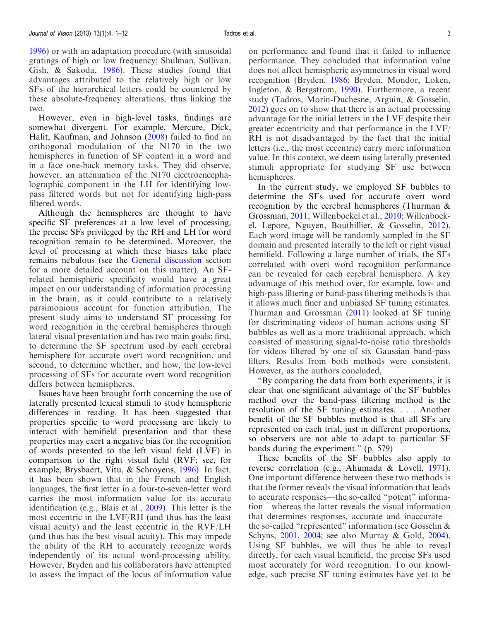[1996\)](#page-11-0) or with an adaptation procedure (with sinusoidal gratings of high or low frequency; Shulman, Sullivan, Gish, & Sakoda, [1986\)](#page-11-0). These studies found that advantages attributed to the relatively high or low SFs of the hierarchical letters could be countered by these absolute-frequency alterations, thus linking the two.

However, even in high-level tasks, findings are somewhat divergent. For example, Mercure, Dick, Halit, Kaufman, and Johnson [\(2008](#page-10-0)) failed to find an orthogonal modulation of the N170 in the two hemispheres in function of SF content in a word and in a face one-back memory tasks. They did observe, however, an attenuation of the N170 electroencephalographic component in the LH for identifying lowpass filtered words but not for identifying high-pass filtered words.

Although the hemispheres are thought to have specific SF preferences at a low level of processing, the precise SFs privileged by the RH and LH for word recognition remain to be determined. Moreover, the level of processing at which these biases take place remains nebulous (see the [General discussion](#page-7-0) section for a more detailed account on this matter). An SFrelated hemispheric specificity would have a great impact on our understanding of information processing in the brain, as it could contribute to a relatively parsimonious account for function attribution. The present study aims to understand SF processing for word recognition in the cerebral hemispheres through lateral visual presentation and has two main goals: first, to determine the SF spectrum used by each cerebral hemisphere for accurate overt word recognition, and second, to determine whether, and how, the low-level processing of SFs for accurate overt word recognition differs between hemispheres.

Issues have been brought forth concerning the use of laterally presented lexical stimuli to study hemispheric differences in reading. It has been suggested that properties specific to word processing are likely to interact with hemifield presentation and that these properties may exert a negative bias for the recognition of words presented to the left visual field (LVF) in comparison to the right visual field (RVF; see, for example, Brysbaert, Vitu, & Schroyens, [1996](#page-9-0)). In fact, it has been shown that in the French and English languages, the first letter in a four-to-seven-letter word carries the most information value for its accurate identification (e.g., Blais et al., [2009](#page-9-0)). This letter is the most eccentric in the LVF/RH (and thus has the least visual acuity) and the least eccentric in the RVF/LH (and thus has the best visual acuity). This may impede the ability of the RH to accurately recognize words independently of its actual word-processing ability. However, Bryden and his collaborators have attempted to assess the impact of the locus of information value

on performance and found that it failed to influence performance. They concluded that information value does not affect hemispheric asymmetries in visual word recognition (Bryden, [1986](#page-9-0); Bryden, Mondor, Loken, Ingleton, & Bergstrom, [1990](#page-9-0)). Furthermore, a recent study (Tadros, Morin-Duchesne, Arguin, & Gosselin, [2012\)](#page-11-0) goes on to show that there is an actual processing advantage for the initial letters in the LVF despite their greater eccentricity and that performance in the LVF/ RH is not disadvantaged by the fact that the initial letters (i.e., the most eccentric) carry more information value. In this context, we deem using laterally presented stimuli appropriate for studying SF use between hemispheres.

In the current study, we employed SF bubbles to determine the SFs used for accurate overt word recognition by the cerebral hemispheres (Thurman & Grossman, [2011;](#page-11-0) Willenbockel et al., [2010](#page-11-0); Willenbockel, Lepore, Nguyen, Bouthillier, & Gosselin, [2012](#page-11-0)). Each word image will be randomly sampled in the SF domain and presented laterally to the left or right visual hemifield. Following a large number of trials, the SFs correlated with overt word recognition performance can be revealed for each cerebral hemisphere. A key advantage of this method over, for example, low- and high-pass filtering or band-pass filtering methods is that it allows much finer and unbiased SF tuning estimates. Thurman and Grossman [\(2011](#page-11-0)) looked at SF tuning for discriminating videos of human actions using SF bubbles as well as a more traditional approach, which consisted of measuring signal-to-noise ratio thresholds for videos filtered by one of six Gaussian band-pass filters. Results from both methods were consistent. However, as the authors concluded,

''By comparing the data from both experiments, it is clear that one significant advantage of the SF bubbles method over the band-pass filtering method is the resolution of the SF tuning estimates. . . . Another benefit of the SF bubbles method is that all SFs are represented on each trial, just in different proportions, so observers are not able to adapt to particular SF bands during the experiment.'' (p. 579)

These benefits of the SF bubbles also apply to reverse correlation (e.g., Ahumada & Lovell, [1971](#page-9-0)). One important difference between these two methods is that the former reveals the visual information that leads to accurate responses—the so-called ''potent'' information—whereas the latter reveals the visual information that determines responses, accurate and inaccurate the so-called ''represented'' information (see Gosselin & Schyns, [2001](#page-10-0), [2004](#page-10-0); see also Murray & Gold, [2004](#page-10-0)). Using SF bubbles, we will thus be able to reveal directly, for each visual hemifield, the precise SFs used most accurately for word recognition. To our knowledge, such precise SF tuning estimates have yet to be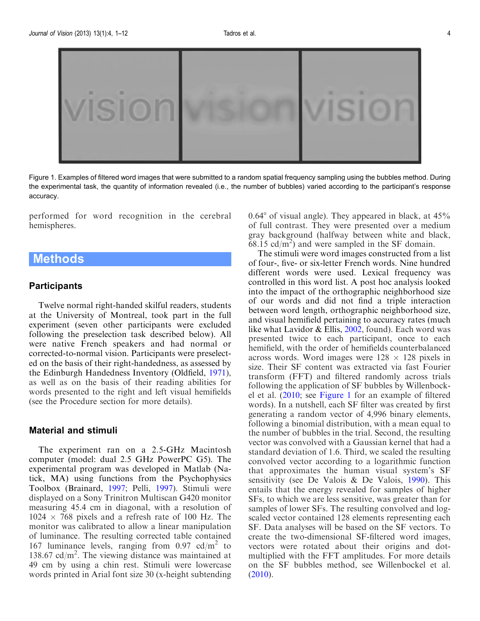<span id="page-3-0"></span>

Figure 1. Examples of filtered word images that were submitted to a random spatial frequency sampling using the bubbles method. During the experimental task, the quantity of information revealed (i.e., the number of bubbles) varied according to the participant's response accuracy.

performed for word recognition in the cerebral hemispheres.

## Methods

#### **Participants**

Twelve normal right-handed skilful readers, students at the University of Montreal, took part in the full experiment (seven other participants were excluded following the preselection task described below). All were native French speakers and had normal or corrected-to-normal vision. Participants were preselected on the basis of their right-handedness, as assessed by the Edinburgh Handedness Inventory (Oldfield, [1971](#page-11-0)), as well as on the basis of their reading abilities for words presented to the right and left visual hemifields (see the Procedure section for more details).

#### Material and stimuli

The experiment ran on a 2.5-GHz Macintosh computer (model: dual 2.5 GHz PowerPC G5). The experimental program was developed in Matlab (Natick, MA) using functions from the Psychophysics Toolbox (Brainard, [1997;](#page-9-0) Pelli, [1997](#page-11-0)). Stimuli were displayed on a Sony Trinitron Multiscan G420 monitor measuring 45.4 cm in diagonal, with a resolution of  $1024 \times 768$  pixels and a refresh rate of 100 Hz. The monitor was calibrated to allow a linear manipulation of luminance. The resulting corrected table contained 167 luminance levels, ranging from  $0.97 \text{ cd/m}^2$  to 138.67  $cd/m^2$ . The viewing distance was maintained at 49 cm by using a chin rest. Stimuli were lowercase words printed in Arial font size 30 (x-height subtending  $0.64^{\circ}$  of visual angle). They appeared in black, at  $45\%$ of full contrast. They were presented over a medium gray background (halfway between white and black,  $68.15 \text{ cd/m}^2$ ) and were sampled in the SF domain.

The stimuli were word images constructed from a list of four-, five- or six-letter French words. Nine hundred different words were used. Lexical frequency was controlled in this word list. A post hoc analysis looked into the impact of the orthographic neighborhood size of our words and did not find a triple interaction between word length, orthographic neighborhood size, and visual hemifield pertaining to accuracy rates (much like what Lavidor & Ellis, [2002](#page-10-0), found). Each word was presented twice to each participant, once to each hemifield, with the order of hemifields counterbalanced across words. Word images were  $128 \times 128$  pixels in size. Their SF content was extracted via fast Fourier transform (FFT) and filtered randomly across trials following the application of SF bubbles by Willenbockel et al. ([2010;](#page-11-0) see Figure 1 for an example of filtered words). In a nutshell, each SF filter was created by first generating a random vector of 4,996 binary elements, following a binomial distribution, with a mean equal to the number of bubbles in the trial. Second, the resulting vector was convolved with a Gaussian kernel that had a standard deviation of 1.6. Third, we scaled the resulting convolved vector according to a logarithmic function that approximates the human visual system's SF sensitivity (see De Valois & De Valois, [1990\)](#page-10-0). This entails that the energy revealed for samples of higher SFs, to which we are less sensitive, was greater than for samples of lower SFs. The resulting convolved and logscaled vector contained 128 elements representing each SF. Data analyses will be based on the SF vectors. To create the two-dimensional SF-filtered word images, vectors were rotated about their origins and dotmultiplied with the FFT amplitudes. For more details on the SF bubbles method, see Willenbockel et al. ([2010](#page-11-0)).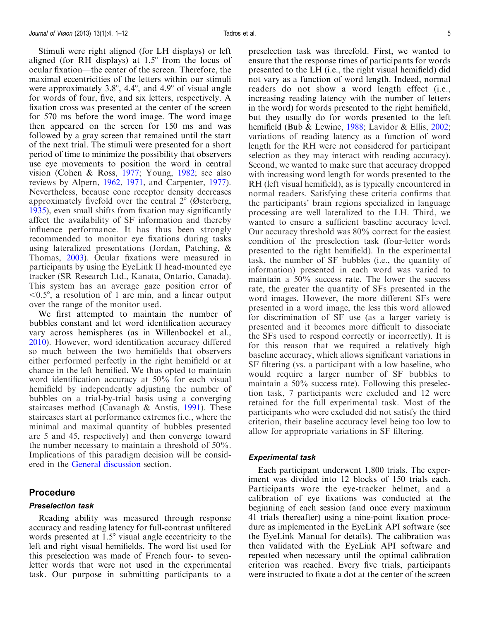Stimuli were right aligned (for LH displays) or left aligned (for RH displays) at  $1.5^{\circ}$  from the locus of ocular fixation—the center of the screen. Therefore, the maximal eccentricities of the letters within our stimuli were approximately  $3.8^{\circ}$ ,  $4.4^{\circ}$ , and  $4.9^{\circ}$  of visual angle for words of four, five, and six letters, respectively. A fixation cross was presented at the center of the screen for 570 ms before the word image. The word image then appeared on the screen for 150 ms and was followed by a gray screen that remained until the start of the next trial. The stimuli were presented for a short period of time to minimize the possibility that observers use eye movements to position the word in central vision (Cohen & Ross, [1977;](#page-9-0) Young, [1982](#page-11-0); see also reviews by Alpern, [1962](#page-9-0), [1971,](#page-9-0) and Carpenter, [1977](#page-9-0)). Nevertheless, because cone receptor density decreases approximately fivefold over the central  $2^{\circ}$  (Østerberg, [1935\)](#page-11-0), even small shifts from fixation may significantly affect the availability of SF information and thereby influence performance. It has thus been strongly recommended to monitor eye fixations during tasks using lateralized presentations (Jordan, Patching, & Thomas, [2003\)](#page-10-0). Ocular fixations were measured in participants by using the EyeLink II head-mounted eye tracker (SR Research Ltd., Kanata, Ontario, Canada). This system has an average gaze position error of  $\leq 0.5^{\circ}$ , a resolution of 1 arc min, and a linear output over the range of the monitor used.

We first attempted to maintain the number of bubbles constant and let word identification accuracy vary across hemispheres (as in Willenbockel et al., [2010\)](#page-11-0). However, word identification accuracy differed so much between the two hemifields that observers either performed perfectly in the right hemifield or at chance in the left hemified. We thus opted to maintain word identification accuracy at 50% for each visual hemifield by independently adjusting the number of bubbles on a trial-by-trial basis using a converging staircases method (Cavanagh & Anstis, [1991](#page-9-0)). These staircases start at performance extremes (i.e., where the minimal and maximal quantity of bubbles presented are 5 and 45, respectively) and then converge toward the number necessary to maintain a threshold of 50%. Implications of this paradigm decision will be considered in the [General discussion](#page-7-0) section.

#### Procedure

#### Preselection task

Reading ability was measured through response accuracy and reading latency for full-contrast unfiltered words presented at  $1.5^{\circ}$  visual angle eccentricity to the left and right visual hemifields. The word list used for this preselection was made of French four- to sevenletter words that were not used in the experimental task. Our purpose in submitting participants to a preselection task was threefold. First, we wanted to ensure that the response times of participants for words presented to the LH (i.e., the right visual hemifield) did not vary as a function of word length. Indeed, normal readers do not show a word length effect (i.e., increasing reading latency with the number of letters in the word) for words presented to the right hemifield, but they usually do for words presented to the left hemifield (Bub & Lewine, [1988;](#page-9-0) Lavidor & Ellis, [2002](#page-10-0); variations of reading latency as a function of word length for the RH were not considered for participant selection as they may interact with reading accuracy). Second, we wanted to make sure that accuracy dropped with increasing word length for words presented to the RH (left visual hemifield), as is typically encountered in normal readers. Satisfying these criteria confirms that the participants' brain regions specialized in language processing are well lateralized to the LH. Third, we wanted to ensure a sufficient baseline accuracy level. Our accuracy threshold was 80% correct for the easiest condition of the preselection task (four-letter words presented to the right hemifield). In the experimental task, the number of SF bubbles (i.e., the quantity of information) presented in each word was varied to maintain a 50% success rate. The lower the success rate, the greater the quantity of SFs presented in the word images. However, the more different SFs were presented in a word image, the less this word allowed for discrimination of SF use (as a larger variety is presented and it becomes more difficult to dissociate the SFs used to respond correctly or incorrectly). It is for this reason that we required a relatively high baseline accuracy, which allows significant variations in SF filtering (vs. a participant with a low baseline, who would require a larger number of SF bubbles to maintain a 50% success rate). Following this preselection task, 7 participants were excluded and 12 were retained for the full experimental task. Most of the participants who were excluded did not satisfy the third criterion, their baseline accuracy level being too low to allow for appropriate variations in SF filtering.

#### Experimental task

Each participant underwent 1,800 trials. The experiment was divided into 12 blocks of 150 trials each. Participants wore the eye-tracker helmet, and a calibration of eye fixations was conducted at the beginning of each session (and once every maximum 41 trials thereafter) using a nine-point fixation procedure as implemented in the EyeLink API software (see the EyeLink Manual for details). The calibration was then validated with the EyeLink API software and repeated when necessary until the optimal calibration criterion was reached. Every five trials, participants were instructed to fixate a dot at the center of the screen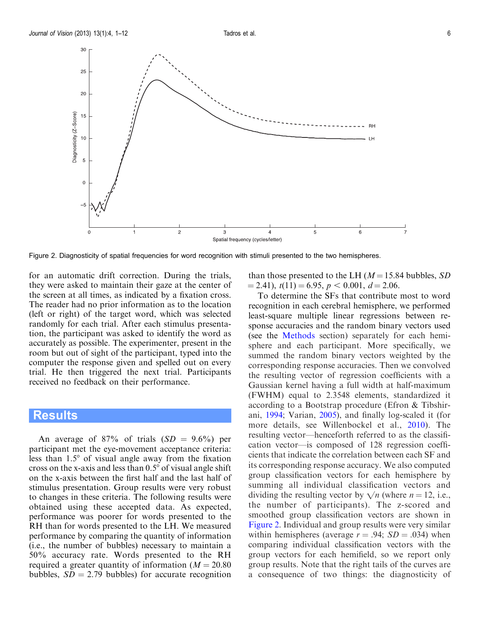

Figure 2. Diagnosticity of spatial frequencies for word recognition with stimuli presented to the two hemispheres.

for an automatic drift correction. During the trials, they were asked to maintain their gaze at the center of the screen at all times, as indicated by a fixation cross. The reader had no prior information as to the location (left or right) of the target word, which was selected randomly for each trial. After each stimulus presentation, the participant was asked to identify the word as accurately as possible. The experimenter, present in the room but out of sight of the participant, typed into the computer the response given and spelled out on every trial. He then triggered the next trial. Participants received no feedback on their performance.

# **Results**

An average of 87% of trials  $(SD = 9.6\%)$  per participant met the eye-movement acceptance criteria: less than  $1.5^{\circ}$  of visual angle away from the fixation cross on the x-axis and less than  $0.5^{\circ}$  of visual angle shift on the x-axis between the first half and the last half of stimulus presentation. Group results were very robust to changes in these criteria. The following results were obtained using these accepted data. As expected, performance was poorer for words presented to the RH than for words presented to the LH. We measured performance by comparing the quantity of information (i.e., the number of bubbles) necessary to maintain a 50% accuracy rate. Words presented to the RH required a greater quantity of information ( $M = 20.80$ ) bubbles,  $SD = 2.79$  bubbles) for accurate recognition than those presented to the LH  $(M=15.84$  bubbles, SD  $\mu = 2.41$ ,  $t(11) = 6.95$ ,  $p < 0.001$ ,  $d = 2.06$ .

To determine the SFs that contribute most to word recognition in each cerebral hemisphere, we performed least-square multiple linear regressions between response accuracies and the random binary vectors used (see the [Methods](#page-3-0) section) separately for each hemisphere and each participant. More specifically, we summed the random binary vectors weighted by the corresponding response accuracies. Then we convolved the resulting vector of regression coefficients with a Gaussian kernel having a full width at half-maximum (FWHM) equal to 2.3548 elements, standardized it according to a Bootstrap procedure (Efron & Tibshirani, [1994;](#page-10-0) Varian, [2005](#page-11-0)), and finally log-scaled it (for more details, see Willenbockel et al., [2010](#page-11-0)). The resulting vector—henceforth referred to as the classification vector—is composed of 128 regression coefficients that indicate the correlation between each SF and its corresponding response accuracy. We also computed group classification vectors for each hemisphere by summing all individual classification vectors and dividing the resulting vector by  $\sqrt{n}$  (where  $n = 12$ , i.e., the number of participants). The z-scored and smoothed group classification vectors are shown in Figure 2. Individual and group results were very similar within hemispheres (average  $r = .94$ ;  $SD = .034$ ) when comparing individual classification vectors with the group vectors for each hemifield, so we report only group results. Note that the right tails of the curves are a consequence of two things: the diagnosticity of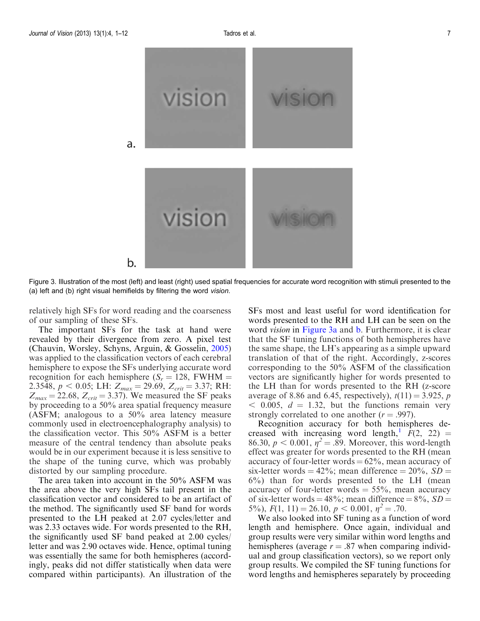

Figure 3. Illustration of the most (left) and least (right) used spatial frequencies for accurate word recognition with stimuli presented to the (a) left and (b) right visual hemifields by filtering the word vision.

relatively high SFs for word reading and the coarseness of our sampling of these SFs.

The important SFs for the task at hand were revealed by their divergence from zero. A pixel test (Chauvin, Worsley, Schyns, Arguin, & Gosselin, [2005](#page-9-0)) was applied to the classification vectors of each cerebral hemisphere to expose the SFs underlying accurate word recognition for each hemisphere ( $S_r = 128$ , FWHM = 2.3548,  $p < 0.05$ ; LH:  $Z_{max} = 29.69$ ,  $Z_{crit} = 3.37$ ; RH:  $Z_{max}$  = 22.68,  $Z_{crit}$  = 3.37). We measured the SF peaks by proceeding to a 50% area spatial frequency measure (ASFM; analogous to a 50% area latency measure commonly used in electroencephalography analysis) to the classification vector. This 50% ASFM is a better measure of the central tendency than absolute peaks would be in our experiment because it is less sensitive to the shape of the tuning curve, which was probably distorted by our sampling procedure.

The area taken into account in the 50% ASFM was the area above the very high SFs tail present in the classification vector and considered to be an artifact of the method. The significantly used SF band for words presented to the LH peaked at 2.07 cycles/letter and was 2.33 octaves wide. For words presented to the RH, the significantly used SF band peaked at 2.00 cycles/ letter and was 2.90 octaves wide. Hence, optimal tuning was essentially the same for both hemispheres (accordingly, peaks did not differ statistically when data were compared within participants). An illustration of the SFs most and least useful for word identification for words presented to the RH and LH can be seen on the word *vision* in Figure 3a and b. Furthermore, it is clear that the SF tuning functions of both hemispheres have the same shape, the LH's appearing as a simple upward translation of that of the right. Accordingly, z-scores corresponding to the 50% ASFM of the classification vectors are significantly higher for words presented to the LH than for words presented to the RH (z-score average of 8.86 and 6.45, respectively),  $t(11) = 3.925$ , p  $<$  0.005,  $d = 1.32$ , but the functions remain very strongly correlated to one another  $(r = .997)$ .

Recognition accuracy for both hemispheres decreased with increasing word length,  $F(2, 22) =$ 86.30,  $p < 0.001$ ,  $\eta^2 = .89$ . Moreover, this word-length effect was greater for words presented to the RH (mean accuracy of four-letter words  $= 62\%$ , mean accuracy of six-letter words =  $42\%$ ; mean difference =  $20\%$ , SD = 6%) than for words presented to the LH (mean accuracy of four-letter words  $= 55\%$ , mean accuracy of six-letter words =  $48\%$ ; mean difference =  $8\%$ ,  $SD =$ 5%),  $F(1, 11) = 26.10, p < 0.001, \eta^2 = .70.$ 

We also looked into SF tuning as a function of word length and hemisphere. Once again, individual and group results were very similar within word lengths and hemispheres (average  $r = .87$  when comparing individual and group classification vectors), so we report only group results. We compiled the SF tuning functions for word lengths and hemispheres separately by proceeding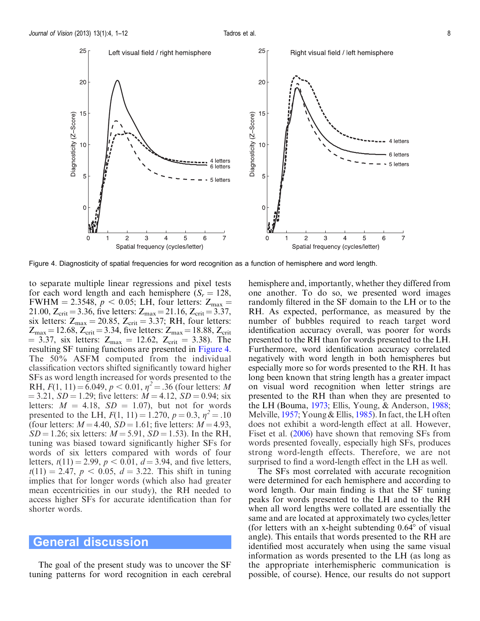<span id="page-7-0"></span>25

20

15

10

5

0

И

 $\overline{1}$ 

0

Diagnosticity (Z-Score)



5

 $\overline{0}$ 

F.

 $\mathsf{O}\xspace$ 

1

 $\overline{c}$ 

 $\ensuremath{\mathsf{3}}$ 

 $\overline{4}$ 

Spatial frequency (cycles/letter)

5

6

 $\overline{7}$ 

Figure 4. Diagnosticity of spatial frequencies for word recognition as a function of hemisphere and word length.

6

5

5 letters

7

to separate multiple linear regressions and pixel tests for each word length and each hemisphere  $(S_r = 128,$ FWHM = 2.3548,  $p < 0.05$ ; LH, four letters:  $Z_{\text{max}} =$ 21.00,  $Z_{\text{crit}} = 3.36$ , five letters:  $Z_{\text{max}} = 21.16$ ,  $Z_{\text{crit}} = 3.37$ , six letters:  $Z_{\text{max}} = 20.85$ ,  $Z_{\text{crit}} = 3.37$ ; RH, four letters:  $Z_{\text{max}} = 12.68, Z_{\text{crit}} = 3.34, \text{ five letters: } Z_{\text{max}} = 18.88, Z_{\text{crit}}$  $= 3.37$ , six letters:  $Z_{\text{max}} = 12.62$ ,  $Z_{\text{crit}} = 3.38$ ). The resulting SF tuning functions are presented in Figure 4. The 50% ASFM computed from the individual classification vectors shifted significantly toward higher SFs as word length increased for words presented to the RH,  $F(1, 11) = 6.049, p < 0.01, \eta^2 = .36$  (four letters: M  $= 3.21, SD = 1.29$ ; five letters:  $M = 4.12, SD = 0.94$ ; six letters:  $M = 4.18$ ,  $SD = 1.07$ , but not for words presented to the LH,  $F(1, 11) = 1.270$ ,  $p = 0.3$ ,  $p^2 = .10$ (four letters:  $M = 4.40$ ,  $SD = 1.61$ ; five letters:  $M = 4.93$ ,  $SD = 1.26$ ; six letters:  $M = 5.91$ ,  $SD = 1.53$ ). In the RH, tuning was biased toward significantly higher SFs for words of six letters compared with words of four letters,  $t(11) = 2.99$ ,  $p < 0.01$ ,  $d = 3.94$ , and five letters,  $t(11) = 2.47$ ,  $p < 0.05$ ,  $d = 3.22$ . This shift in tuning implies that for longer words (which also had greater mean eccentricities in our study), the RH needed to access higher SFs for accurate identification than for shorter words.

 $\overline{c}$ 

3

 $\overline{4}$ 

Spatial frequency (cycles/letter)

### General discussion

The goal of the present study was to uncover the SF tuning patterns for word recognition in each cerebral hemisphere and, importantly, whether they differed from one another. To do so, we presented word images randomly filtered in the SF domain to the LH or to the RH. As expected, performance, as measured by the number of bubbles required to reach target word identification accuracy overall, was poorer for words presented to the RH than for words presented to the LH. Furthermore, word identification accuracy correlated negatively with word length in both hemispheres but especially more so for words presented to the RH. It has long been known that string length has a greater impact on visual word recognition when letter strings are presented to the RH than when they are presented to the LH (Bouma, [1973](#page-9-0); Ellis, Young, & Anderson, [1988](#page-10-0); Melville, [1957](#page-10-0); Young & Ellis, [1985\)](#page-11-0). In fact, the LH often does not exhibit a word-length effect at all. However, Fiset et al. [\(2006](#page-10-0)) have shown that removing SFs from words presented foveally, especially high SFs, produces strong word-length effects. Therefore, we are not surprised to find a word-length effect in the LH as well.

The SFs most correlated with accurate recognition were determined for each hemisphere and according to word length. Our main finding is that the SF tuning peaks for words presented to the LH and to the RH when all word lengths were collated are essentially the same and are located at approximately two cycles/letter (for letters with an x-height subtending  $0.64^{\circ}$  of visual angle). This entails that words presented to the RH are identified most accurately when using the same visual information as words presented to the LH (as long as the appropriate interhemispheric communication is possible, of course). Hence, our results do not support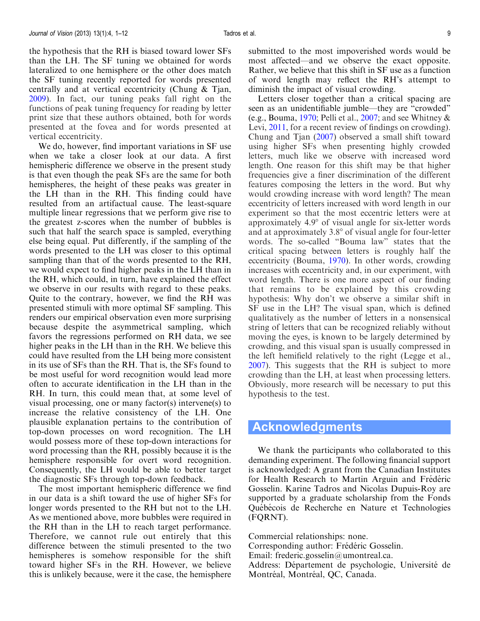the hypothesis that the RH is biased toward lower SFs than the LH. The SF tuning we obtained for words lateralized to one hemisphere or the other does match the SF tuning recently reported for words presented centrally and at vertical eccentricity (Chung & Tjan, [2009\)](#page-9-0). In fact, our tuning peaks fall right on the functions of peak tuning frequency for reading by letter print size that these authors obtained, both for words presented at the fovea and for words presented at vertical eccentricity.

We do, however, find important variations in SF use when we take a closer look at our data. A first hemispheric difference we observe in the present study is that even though the peak SFs are the same for both hemispheres, the height of these peaks was greater in the LH than in the RH. This finding could have resulted from an artifactual cause. The least-square multiple linear regressions that we perform give rise to the greatest z-scores when the number of bubbles is such that half the search space is sampled, everything else being equal. Put differently, if the sampling of the words presented to the LH was closer to this optimal sampling than that of the words presented to the RH, we would expect to find higher peaks in the LH than in the RH, which could, in turn, have explained the effect we observe in our results with regard to these peaks. Quite to the contrary, however, we find the RH was presented stimuli with more optimal SF sampling. This renders our empirical observation even more surprising because despite the asymmetrical sampling, which favors the regressions performed on RH data, we see higher peaks in the LH than in the RH. We believe this could have resulted from the LH being more consistent in its use of SFs than the RH. That is, the SFs found to be most useful for word recognition would lead more often to accurate identification in the LH than in the RH. In turn, this could mean that, at some level of visual processing, one or many factor(s) intervene(s) to increase the relative consistency of the LH. One plausible explanation pertains to the contribution of top-down processes on word recognition. The LH would possess more of these top-down interactions for word processing than the RH, possibly because it is the hemisphere responsible for overt word recognition. Consequently, the LH would be able to better target the diagnostic SFs through top-down feedback.

The most important hemispheric difference we find in our data is a shift toward the use of higher SFs for longer words presented to the RH but not to the LH. As we mentioned above, more bubbles were required in the RH than in the LH to reach target performance. Therefore, we cannot rule out entirely that this difference between the stimuli presented to the two hemispheres is somehow responsible for the shift toward higher SFs in the RH. However, we believe this is unlikely because, were it the case, the hemisphere submitted to the most impoverished words would be most affected—and we observe the exact opposite. Rather, we believe that this shift in SF use as a function of word length may reflect the RH's attempt to diminish the impact of visual crowding.

Letters closer together than a critical spacing are seen as an unidentifiable jumble—they are ''crowded'' (e.g., Bouma, [1970;](#page-9-0) Pelli et al., [2007](#page-11-0); and see Whitney & Levi, [2011,](#page-11-0) for a recent review of findings on crowding). Chung and Tjan ([2007](#page-9-0)) observed a small shift toward using higher SFs when presenting highly crowded letters, much like we observe with increased word length. One reason for this shift may be that higher frequencies give a finer discrimination of the different features composing the letters in the word. But why would crowding increase with word length? The mean eccentricity of letters increased with word length in our experiment so that the most eccentric letters were at approximately  $4.9^{\circ}$  of visual angle for six-letter words and at approximately  $3.8^{\circ}$  of visual angle for four-letter words. The so-called ''Bouma law'' states that the critical spacing between letters is roughly half the eccentricity (Bouma, [1970](#page-9-0)). In other words, crowding increases with eccentricity and, in our experiment, with word length. There is one more aspect of our finding that remains to be explained by this crowding hypothesis: Why don't we observe a similar shift in SF use in the LH? The visual span, which is defined qualitatively as the number of letters in a nonsensical string of letters that can be recognized reliably without moving the eyes, is known to be largely determined by crowding, and this visual span is usually compressed in the left hemifield relatively to the right (Legge et al., [2007\)](#page-10-0). This suggests that the RH is subject to more crowding than the LH, at least when processing letters. Obviously, more research will be necessary to put this hypothesis to the test.

### Acknowledgments

We thank the participants who collaborated to this demanding experiment. The following financial support is acknowledged: A grant from the Canadian Institutes for Health Research to Martin Arguin and Frédéric Gosselin. Karine Tadros and Nicolas Dupuis-Roy are supported by a graduate scholarship from the Fonds Québécois de Recherche en Nature et Technologies (FQRNT).

Commercial relationships: none. Corresponding author: Frédéric Gosselin.

Email: frederic.gosselin@umontreal.ca.

Address: Département de psychologie, Université de Montréal, Montréal, QC, Canada.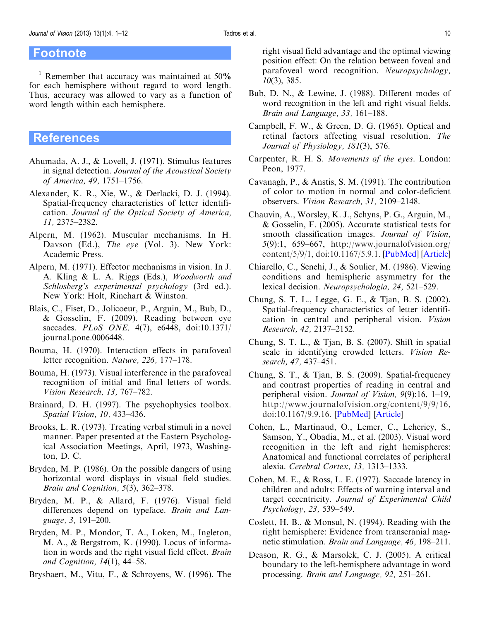### <span id="page-9-0"></span>Footnote

<sup>1</sup> Remember that accuracy was maintained at  $50\%$ for each hemisphere without regard to word length. Thus, accuracy was allowed to vary as a function of word length within each hemisphere.

# **References**

- Ahumada, A. J., & Lovell, J. (1971). Stimulus features in signal detection. Journal of the Acoustical Society of America, 49, 1751–1756.
- Alexander, K. R., Xie, W., & Derlacki, D. J. (1994). Spatial-frequency characteristics of letter identification. Journal of the Optical Society of America, 11, 2375–2382.
- Alpern, M. (1962). Muscular mechanisms. In H. Davson (Ed.), The eye (Vol. 3). New York: Academic Press.
- Alpern, M. (1971). Effector mechanisms in vision. In J. A. Kling & L. A. Riggs (Eds.), Woodworth and Schlosberg's experimental psychology (3rd ed.). New York: Holt, Rinehart & Winston.
- Blais, C., Fiset, D., Jolicoeur, P., Arguin, M., Bub, D., & Gosselin, F. (2009). Reading between eye saccades. *PLoS ONE*, 4(7), e6448, doi:10.1371/ journal.pone.0006448.
- Bouma, H. (1970). Interaction effects in parafoveal letter recognition. Nature, 226, 177–178.
- Bouma, H. (1973). Visual interference in the parafoveal recognition of initial and final letters of words. Vision Research, 13, 767–782.
- Brainard, D. H. (1997). The psychophysics toolbox. Spatial Vision, 10, 433–436.
- Brooks, L. R. (1973). Treating verbal stimuli in a novel manner. Paper presented at the Eastern Psychological Association Meetings, April, 1973, Washington, D. C.
- Bryden, M. P. (1986). On the possible dangers of using horizontal word displays in visual field studies. Brain and Cognition,  $5(3)$ ,  $362-378$ .
- Bryden, M. P., & Allard, F. (1976). Visual field differences depend on typeface. Brain and Language, 3, 191–200.
- Bryden, M. P., Mondor, T. A., Loken, M., Ingleton, M. A., & Bergstrom, K. (1990). Locus of information in words and the right visual field effect. Brain and Cognition, 14(1), 44–58.
- Brysbaert, M., Vitu, F., & Schroyens, W. (1996). The

right visual field advantage and the optimal viewing position effect: On the relation between foveal and parafoveal word recognition. Neuropsychology, 10(3), 385.

- Bub, D. N., & Lewine, J. (1988). Different modes of word recognition in the left and right visual fields. Brain and Language, 33, 161–188.
- Campbell, F. W., & Green, D. G. (1965). Optical and retinal factors affecting visual resolution. The Journal of Physiology, 181(3), 576.
- Carpenter, R. H. S. Movements of the eyes. London: Peon, 1977.
- Cavanagh, P., & Anstis, S. M. (1991). The contribution of color to motion in normal and color-deficient observers. Vision Research, 31, 2109–2148.
- Chauvin, A., Worsley, K. J., Schyns, P. G., Arguin, M., & Gosselin, F. (2005). Accurate statistical tests for smooth classification images. Journal of Vision, 5(9):1, 659–667, [http://www.journalofvision.org/](http://www.journalofvision.org/content/5/9/1) [content/5/9/1](http://www.journalofvision.org/content/5/9/1), doi:10.1167/5.9.1. [\[PubMed\]](http://www.ncbi.nlm.nih.gov/pubmed/16356076) [\[Article](http://www.journalofvision.org/content/5/9/1.long)]
- Chiarello, C., Senehi, J., & Soulier, M. (1986). Viewing conditions and hemispheric asymmetry for the lexical decision. Neuropsychologia, 24, 521–529.
- Chung, S. T. L., Legge, G. E., & Tjan, B. S. (2002). Spatial-frequency characteristics of letter identification in central and peripheral vision. Vision Research, 42, 2137–2152.
- Chung, S. T. L., & Tjan, B. S. (2007). Shift in spatial scale in identifying crowded letters. Vision Research, 47, 437–451.
- Chung, S. T., & Tjan, B. S. (2009). Spatial-frequency and contrast properties of reading in central and peripheral vision. Journal of Vision, 9(9):16, 1–19, <http://www.journalofvision.org/content/9/9/16>, doi:10.1167/9.9.16. [[PubMed](http://www.ncbi.nlm.nih.gov/pubmed/19761349)] [[Article](http://www.journalofvision.org/content/9/9/16.long)]
- Cohen, L., Martinaud, O., Lemer, C., Lehericy, S., Samson, Y., Obadia, M., et al. (2003). Visual word recognition in the left and right hemispheres: Anatomical and functional correlates of peripheral alexia. Cerebral Cortex, 13, 1313–1333.
- Cohen, M. E., & Ross, L. E. (1977). Saccade latency in children and adults: Effects of warning interval and target eccentricity. Journal of Experimental Child Psychology, 23, 539–549.
- Coslett, H. B., & Monsul, N. (1994). Reading with the right hemisphere: Evidence from transcranial magnetic stimulation. Brain and Language, 46, 198–211.
- Deason, R. G., & Marsolek, C. J. (2005). A critical boundary to the left-hemisphere advantage in word processing. Brain and Language, 92, 251–261.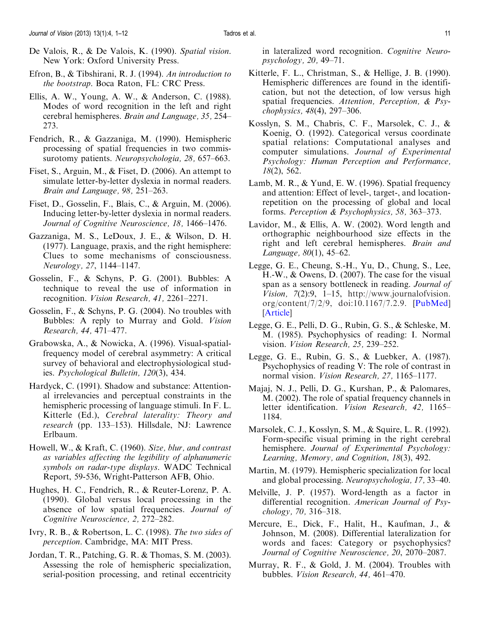- <span id="page-10-0"></span>De Valois, R., & De Valois, K. (1990). Spatial vision. New York: Oxford University Press.
- Efron, B., & Tibshirani, R. J. (1994). An introduction to the bootstrap. Boca Raton, FL: CRC Press.
- Ellis, A. W., Young, A. W., & Anderson, C. (1988). Modes of word recognition in the left and right cerebral hemispheres. Brain and Language, 35, 254– 273.
- Fendrich, R., & Gazzaniga, M. (1990). Hemispheric processing of spatial frequencies in two commissurotomy patients. Neuropsychologia, 28, 657–663.
- Fiset, S., Arguin, M., & Fiset, D. (2006). An attempt to simulate letter-by-letter dyslexia in normal readers. Brain and Language, 98, 251–263.
- Fiset, D., Gosselin, F., Blais, C., & Arguin, M. (2006). Inducing letter-by-letter dyslexia in normal readers. Journal of Cognitive Neuroscience, 18, 1466–1476.
- Gazzaniga, M. S., LeDoux, J. E., & Wilson, D. H. (1977). Language, praxis, and the right hemisphere: Clues to some mechanisms of consciousness. Neurology, 27, 1144–1147.
- Gosselin, F., & Schyns, P. G. (2001). Bubbles: A technique to reveal the use of information in recognition. Vision Research, 41, 2261–2271.
- Gosselin, F., & Schyns, P. G. (2004). No troubles with Bubbles: A reply to Murray and Gold. Vision Research, 44, 471–477.
- Grabowska, A., & Nowicka, A. (1996). Visual-spatialfrequency model of cerebral asymmetry: A critical survey of behavioral and electrophysiological studies. Psychological Bulletin, 120(3), 434.
- Hardyck, C. (1991). Shadow and substance: Attentional irrelevancies and perceptual constraints in the hemispheric processing of language stimuli. In F. L. Kitterle (Ed.), Cerebral laterality: Theory and research (pp. 133–153). Hillsdale, NJ: Lawrence Erlbaum.
- Howell, W., & Kraft, C. (1960). Size, blur, and contrast as variables affecting the legibility of alphanumeric symbols on radar-type displays. WADC Technical Report, 59-536, Wright-Patterson AFB, Ohio.
- Hughes, H. C., Fendrich, R., & Reuter-Lorenz, P. A. (1990). Global versus local processing in the absence of low spatial frequencies. Journal of Cognitive Neuroscience, 2, 272–282.
- Ivry, R. B., & Robertson, L. C. (1998). The two sides of perception. Cambridge, MA: MIT Press.
- Jordan, T. R., Patching, G. R. & Thomas, S. M. (2003). Assessing the role of hemispheric specialization, serial-position processing, and retinal eccentricity

in lateralized word recognition. Cognitive Neuropsychology, 20, 49–71.

- Kitterle, F. L., Christman, S., & Hellige, J. B. (1990). Hemispheric differences are found in the identification, but not the detection, of low versus high spatial frequencies. Attention, Perception, & Psychophysics, 48(4), 297–306.
- Kosslyn, S. M., Chabris, C. F., Marsolek, C. J., & Koenig, O. (1992). Categorical versus coordinate spatial relations: Computational analyses and computer simulations. Journal of Experimental Psychology: Human Perception and Performance, 18(2), 562.
- Lamb, M. R., & Yund, E. W. (1996). Spatial frequency and attention: Effect of level-, target-, and locationrepetition on the processing of global and local forms. Perception & Psychophysics, 58, 363–373.
- Lavidor, M., & Ellis, A. W. (2002). Word length and orthographic neighbourhood size effects in the right and left cerebral hemispheres. Brain and Language, 80(1), 45–62.
- Legge, G. E., Cheung, S.-H., Yu, D., Chung, S., Lee, H.-W., & Owens, D. (2007). The case for the visual span as a sensory bottleneck in reading. Journal of Vision,  $7(2)$ :9, 1–15, [http://www.journalofvision.](http://www.journalofvision.org/content/7/2/9) [org/content/7/2/9](http://www.journalofvision.org/content/7/2/9), doi:10.1167/7.2.9. [[PubMed](http://www.ncbi.nlm.nih.gov/pubmed/18217824)] [[Article\]](http://www.journalofvision.org/content/7/2/9.long)
- Legge, G. E., Pelli, D. G., Rubin, G. S., & Schleske, M. M. (1985). Psychophysics of reading: I. Normal vision. Vision Research, 25, 239–252.
- Legge, G. E., Rubin, G. S., & Luebker, A. (1987). Psychophysics of reading V: The role of contrast in normal vision. Vision Research, 27, 1165–1177.
- Majaj, N. J., Pelli, D. G., Kurshan, P., & Palomares, M. (2002). The role of spatial frequency channels in letter identification. Vision Research, 42, 1165– 1184.
- Marsolek, C. J., Kosslyn, S. M., & Squire, L. R. (1992). Form-specific visual priming in the right cerebral hemisphere. Journal of Experimental Psychology: Learning, Memory, and Cognition, 18(3), 492.
- Martin, M. (1979). Hemispheric specialization for local and global processing. Neuropsychologia, 17, 33–40.
- Melville, J. P. (1957). Word-length as a factor in differential recognition. American Journal of Psychology, 70, 316–318.
- Mercure, E., Dick, F., Halit, H., Kaufman, J., & Johnson, M. (2008). Differential lateralization for words and faces: Category or psychophysics? Journal of Cognitive Neuroscience, 20, 2070–2087.
- Murray, R. F., & Gold, J. M. (2004). Troubles with bubbles. Vision Research, 44, 461–470.